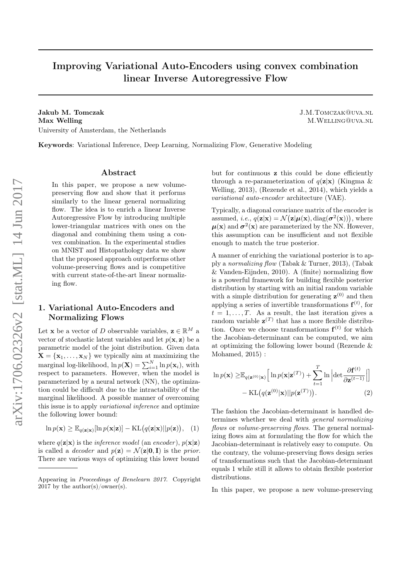# Improving Variational Auto-Encoders using convex combination linear Inverse Autoregressive Flow

Jakub M. Tomczak J.M.Tomczak@uva.nl Max Welling M.WELLING QUVA.NL University of Amsterdam, the Netherlands

Keywords: Variational Inference, Deep Learning, Normalizing Flow, Generative Modeling

#### Abstract

In this paper, we propose a new volumepreserving flow and show that it performs similarly to the linear general normalizing flow. The idea is to enrich a linear Inverse Autoregressive Flow by introducing multiple lower-triangular matrices with ones on the diagonal and combining them using a convex combination. In the experimental studies on MNIST and Histopathology data we show that the proposed approach outperforms other volume-preserving flows and is competitive with current state-of-the-art linear normalizing flow.

# 1. Variational Auto-Encoders and Normalizing Flows

Let **x** be a vector of D observable variables,  $\mathbf{z} \in \mathbb{R}^M$  a vector of stochastic latent variables and let  $p(\mathbf{x}, \mathbf{z})$  be a parametric model of the joint distribution. Given data  $\mathbf{X} = {\mathbf{x}_1, \dots, \mathbf{x}_N}$  we typically aim at maximizing the marginal log-likelihood,  $\ln p(\mathbf{X}) = \sum_{i=1}^{N} \ln p(\mathbf{x}_i)$ , with respect to parameters. However, when the model is parameterized by a neural network (NN), the optimization could be difficult due to the intractability of the marginal likelihood. A possible manner of overcoming this issue is to apply variational inference and optimize the following lower bound:

$$
\ln p(\mathbf{x}) \ge \mathbb{E}_{q(\mathbf{z}|\mathbf{x})}[\ln p(\mathbf{x}|\mathbf{z})] - \mathrm{KL}(q(\mathbf{z}|\mathbf{x})||p(\mathbf{z})), (1)
$$

where  $q(\mathbf{z}|\mathbf{x})$  is the *inference model* (an *encoder*),  $p(\mathbf{x}|\mathbf{z})$ is called a *decoder* and  $p(\mathbf{z}) = \mathcal{N}(\mathbf{z}|\mathbf{0}, \mathbf{I})$  is the prior. There are various ways of optimizing this lower bound

but for continuous z this could be done efficiently through a re-parameterization of  $q(\mathbf{z}|\mathbf{x})$  (Kingma & Welling, 2013), (Rezende et al., 2014), which yields a variational auto-encoder architecture (VAE).

Typically, a diagonal covariance matrix of the encoder is assumed, *i.e.*,  $q(\mathbf{z}|\mathbf{x}) = \mathcal{N}(\mathbf{z}|\boldsymbol{\mu}(\mathbf{x}), \text{diag}(\boldsymbol{\sigma}^2(\mathbf{x}))),$  where  $\mu(\mathbf{x})$  and  $\sigma^2(\mathbf{x})$  are parameterized by the NN. However, this assumption can be insufficient and not flexible enough to match the true posterior.

A manner of enriching the variational posterior is to apply a normalizing flow (Tabak & Turner, 2013), (Tabak & Vanden-Eijnden, 2010). A (finite) normalizing flow is a powerful framework for building flexible posterior distribution by starting with an initial random variable with a simple distribution for generating  $z^{(0)}$  and then applying a series of invertible transformations  $f^{(t)}$ , for  $t = 1, \ldots, T$ . As a result, the last iteration gives a random variable  $\mathbf{z}^{(T)}$  that has a more flexible distribution. Once we choose transformations  $f^{(t)}$  for which the Jacobian-determinant can be computed, we aim at optimizing the following lower bound (Rezende & Mohamed, 2015) :

$$
\ln p(\mathbf{x}) \geq \mathbb{E}_{q(\mathbf{z}^{(0)}|\mathbf{x})} \left[ \ln p(\mathbf{x}|\mathbf{z}^{(T)}) + \sum_{t=1}^{T} \ln \left| \det \frac{\partial \mathbf{f}^{(t)}}{\partial \mathbf{z}^{(t-1)}} \right| \right] - \text{KL}(q(\mathbf{z}^{(0)}|\mathbf{x}) || p(\mathbf{z}^{(T)})). \tag{2}
$$

The fashion the Jacobian-determinant is handled determines whether we deal with general normalizing flows or volume-preserving flows. The general normalizing flows aim at formulating the flow for which the Jacobian-determinant is relatively easy to compute. On the contrary, the volume-preserving flows design series of transformations such that the Jacobian-determinant equals 1 while still it allows to obtain flexible posterior distributions.

In this paper, we propose a new volume-preserving

Appearing in Proceedings of Benelearn 2017. Copyright 2017 by the author(s)/owner(s).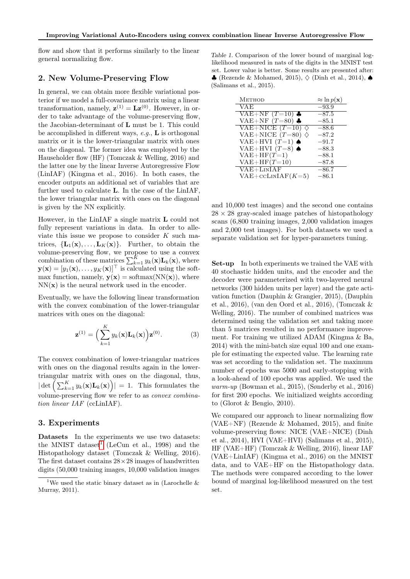flow and show that it performs similarly to the linear general normalizing flow.

### 2. New Volume-Preserving Flow

In general, we can obtain more flexible variational posterior if we model a full-covariance matrix using a linear transformation, namely,  $\mathbf{z}^{(1)} = \mathbf{L} \mathbf{z}^{(0)}$ . However, in order to take advantage of the volume-preserving flow, the Jacobian-determinant of L must be 1. This could be accomplished in different ways,  $e.g., \mathbf{L}$  is orthogonal matrix or it is the lower-triangular matrix with ones on the diagonal. The former idea was employed by the Hauseholder flow (HF) (Tomczak & Welling, 2016) and the latter one by the linear Inverse Autoregressive Flow (LinIAF) (Kingma et al., 2016). In both cases, the encoder outputs an additional set of variables that are further used to calculate L. In the case of the LinIAF, the lower triangular matrix with ones on the diagonal is given by the NN explicitly.

However, in the LinIAF a single matrix L could not fully represent variations in data. In order to alleviate this issue we propose to consider  $K$  such matrices,  $\{L_1(\mathbf{x}),..., L_K(\mathbf{x})\}$ . Further, to obtain the volume-preserving flow, we propose to use a convex combination of these matrices  $\sum_{k=1}^{K} y_k(\mathbf{x}) \mathbf{L}_k(\mathbf{x})$ , where  $\mathbf{y}(\mathbf{x}) = [y_1(\mathbf{x}), \dots, y_K(\mathbf{x})]^\top$  is calculated using the softmax function, namely,  $y(x) = \text{softmax}(NN(x))$ , where  $NN(x)$  is the neural network used in the encoder.

Eventually, we have the following linear transformation with the convex combination of the lower-triangular matrices with ones on the diagonal:

$$
\mathbf{z}^{(1)} = \left(\sum_{k=1}^{K} y_k(\mathbf{x}) \mathbf{L}_k(\mathbf{x})\right) \mathbf{z}^{(0)}.
$$
 (3)

The convex combination of lower-triangular matrices with ones on the diagonal results again in the lowertriangular matrix with ones on the diagonal, thus,  $|\det\left(\sum_{k=1}^K y_k(\mathbf{x})\mathbf{L}_k(\mathbf{x})\right)| = 1.$  This formulates the volume-preserving flow we refer to as convex combination linear IAF (ccLinIAF).

#### 3. Experiments

Datasets In the experiments we use two datasets: the MNIST dataset<sup>[1](#page-1-0)</sup> (LeCun et al., 1998) and the Histopathology dataset (Tomczak & Welling, 2016). The first dataset contains  $28 \times 28$  images of handwritten digits (50,000 training images, 10,000 validation images

<span id="page-1-1"></span>Table 1. Comparison of the lower bound of marginal loglikelihood measured in nats of the digits in the MNIST test set. Lower value is better. Some results are presented after: ♦ (Rezende & Mohamed, 2015),  $\diamondsuit$  (Dinh et al., 2014), ♦ (Salimans et al., 2015).

| <b>METHOD</b>                | $\approx \ln p(\mathbf{x})$ |
|------------------------------|-----------------------------|
| VAE                          | $-93.9$                     |
| VAE+NF $(T=10)$ $\clubsuit$  | $-87.5$                     |
| VAE+NF $(T=80)$ $\clubsuit$  | $-85.1$                     |
| VAE+NICE $(T=10)$ $\diamond$ | $-88.6$                     |
| VAE+NICE $(T=80)$<br>♦       | $-87.2$                     |
| VAE+HVI $(T=1)$ $\spadesuit$ | $-91.7$                     |
| VAE+HVI $(T=8)$ $\spadesuit$ | $-88.3$                     |
| $VAE+HF(T=1)$                | $-88.1$                     |
| $VAE+HF(T=10)$               | $-87.8$                     |
| $VAE+LinIAF$                 | $-86.7$                     |
| $VAE + cclINIAF(K=5)$        | $-86.1$                     |

and 10,000 test images) and the second one contains  $28 \times 28$  gray-scaled image patches of histopathology scans (6,800 training images, 2,000 validation images and 2,000 test images). For both datasets we used a separate validation set for hyper-parameters tuning.

Set-up In both experiments we trained the VAE with 40 stochastic hidden units, and the encoder and the decoder were parameterized with two-layered neural networks (300 hidden units per layer) and the gate activation function (Dauphin & Grangier, 2015), (Dauphin et al., 2016), (van den Oord et al., 2016), (Tomczak & Welling, 2016). The number of combined matrices was determined using the validation set and taking more than 5 matrices resulted in no performance improvement. For training we utilized ADAM (Kingma & Ba, 2014) with the mini-batch size equal 100 and one example for estimating the expected value. The learning rate was set according to the validation set. The maximum number of epochs was 5000 and early-stopping with a look-ahead of 100 epochs was applied. We used the warm-up (Bowman et al., 2015), (Sønderby et al., 2016) for first 200 epochs. We initialized weights according to (Glorot & Bengio, 2010).

We compared our approach to linear normalizing flow (VAE+NF) (Rezende & Mohamed, 2015), and finite volume-preserving flows: NICE (VAE+NICE) (Dinh et al., 2014), HVI (VAE+HVI) (Salimans et al., 2015), HF (VAE+HF) (Tomczak & Welling, 2016), linear IAF (VAE+LinIAF) (Kingma et al., 2016) on the MNIST data, and to VAE+HF on the Histopathology data. The methods were compared according to the lower bound of marginal log-likelihood measured on the test set.

<span id="page-1-0"></span><sup>&</sup>lt;sup>1</sup>We used the static binary dataset as in (Larochelle  $\&$ Murray, 2011).